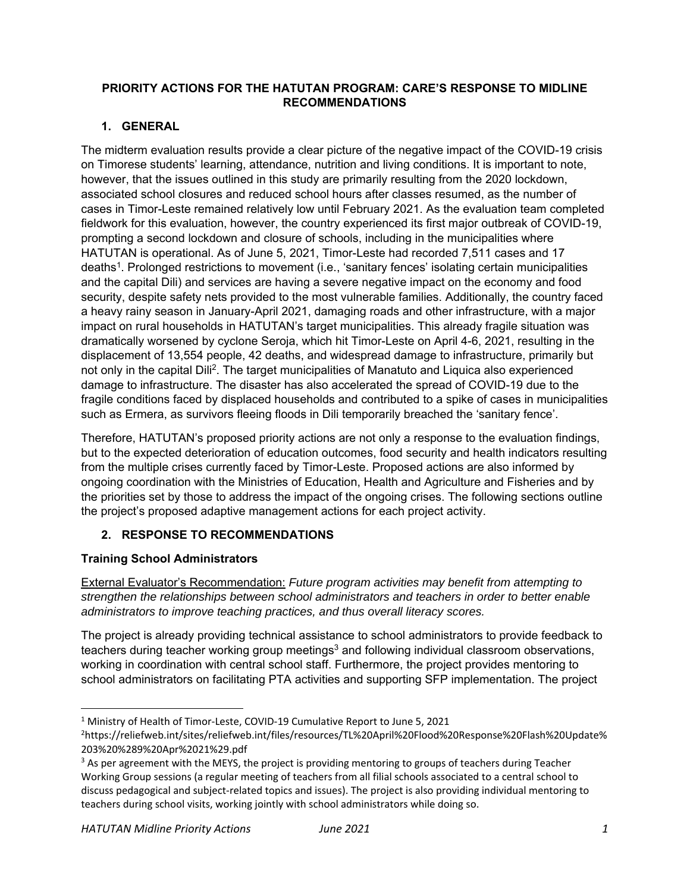#### **PRIORITY ACTIONS FOR THE HATUTAN PROGRAM: CARE'S RESPONSE TO MIDLINE RECOMMENDATIONS**

# **1. GENERAL**

The midterm evaluation results provide a clear picture of the negative impact of the COVID-19 crisis on Timorese students' learning, attendance, nutrition and living conditions. It is important to note, however, that the issues outlined in this study are primarily resulting from the 2020 lockdown, associated school closures and reduced school hours after classes resumed, as the number of cases in Timor-Leste remained relatively low until February 2021. As the evaluation team completed fieldwork for this evaluation, however, the country experienced its first major outbreak of COVID-19, prompting a second lockdown and closure of schools, including in the municipalities where HATUTAN is operational. As of June 5, 2021, Timor-Leste had recorded 7,511 cases and 17 deaths1. Prolonged restrictions to movement (i.e., 'sanitary fences' isolating certain municipalities and the capital Dili) and services are having a severe negative impact on the economy and food security, despite safety nets provided to the most vulnerable families. Additionally, the country faced a heavy rainy season in January-April 2021, damaging roads and other infrastructure, with a major impact on rural households in HATUTAN's target municipalities. This already fragile situation was dramatically worsened by cyclone Seroja, which hit Timor-Leste on April 4-6, 2021, resulting in the displacement of 13,554 people, 42 deaths, and widespread damage to infrastructure, primarily but not only in the capital Dili2. The target municipalities of Manatuto and Liquica also experienced damage to infrastructure. The disaster has also accelerated the spread of COVID-19 due to the fragile conditions faced by displaced households and contributed to a spike of cases in municipalities such as Ermera, as survivors fleeing floods in Dili temporarily breached the 'sanitary fence'.

Therefore, HATUTAN's proposed priority actions are not only a response to the evaluation findings, but to the expected deterioration of education outcomes, food security and health indicators resulting from the multiple crises currently faced by Timor-Leste. Proposed actions are also informed by ongoing coordination with the Ministries of Education, Health and Agriculture and Fisheries and by the priorities set by those to address the impact of the ongoing crises. The following sections outline the project's proposed adaptive management actions for each project activity.

## **2. RESPONSE TO RECOMMENDATIONS**

## **Training School Administrators**

External Evaluator's Recommendation: *Future program activities may benefit from attempting to strengthen the relationships between school administrators and teachers in order to better enable administrators to improve teaching practices, and thus overall literacy scores.* 

The project is already providing technical assistance to school administrators to provide feedback to teachers during teacher working group meetings<sup>3</sup> and following individual classroom observations, working in coordination with central school staff. Furthermore, the project provides mentoring to school administrators on facilitating PTA activities and supporting SFP implementation. The project

<sup>1</sup> Ministry of Health of Timor‐Leste, COVID‐19 Cumulative Report to June 5, 2021

<sup>2</sup> https://reliefweb.int/sites/reliefweb.int/files/resources/TL%20April%20Flood%20Response%20Flash%20Update% 203%20%289%20Apr%2021%29.pdf

<sup>&</sup>lt;sup>3</sup> As per agreement with the MEYS, the project is providing mentoring to groups of teachers during Teacher Working Group sessions (a regular meeting of teachers from all filial schools associated to a central school to discuss pedagogical and subject‐related topics and issues). The project is also providing individual mentoring to teachers during school visits, working jointly with school administrators while doing so.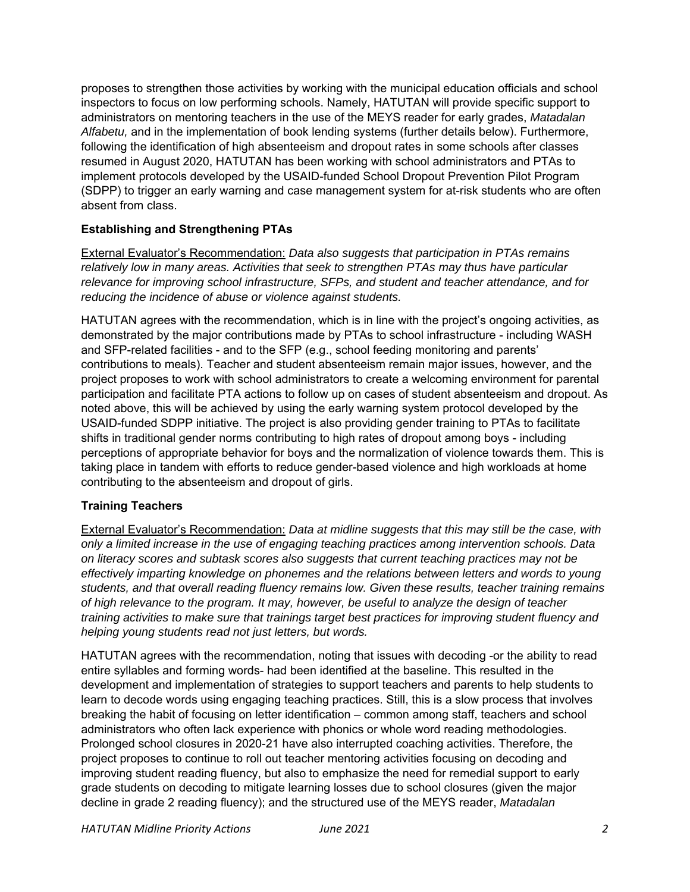proposes to strengthen those activities by working with the municipal education officials and school inspectors to focus on low performing schools. Namely, HATUTAN will provide specific support to administrators on mentoring teachers in the use of the MEYS reader for early grades, *Matadalan Alfabetu,* and in the implementation of book lending systems (further details below). Furthermore, following the identification of high absenteeism and dropout rates in some schools after classes resumed in August 2020, HATUTAN has been working with school administrators and PTAs to implement protocols developed by the USAID-funded School Dropout Prevention Pilot Program (SDPP) to trigger an early warning and case management system for at-risk students who are often absent from class.

### **Establishing and Strengthening PTAs**

External Evaluator's Recommendation: *Data also suggests that participation in PTAs remains relatively low in many areas. Activities that seek to strengthen PTAs may thus have particular relevance for improving school infrastructure, SFPs, and student and teacher attendance, and for reducing the incidence of abuse or violence against students.* 

HATUTAN agrees with the recommendation, which is in line with the project's ongoing activities, as demonstrated by the major contributions made by PTAs to school infrastructure - including WASH and SFP-related facilities - and to the SFP (e.g., school feeding monitoring and parents' contributions to meals). Teacher and student absenteeism remain major issues, however, and the project proposes to work with school administrators to create a welcoming environment for parental participation and facilitate PTA actions to follow up on cases of student absenteeism and dropout. As noted above, this will be achieved by using the early warning system protocol developed by the USAID-funded SDPP initiative. The project is also providing gender training to PTAs to facilitate shifts in traditional gender norms contributing to high rates of dropout among boys - including perceptions of appropriate behavior for boys and the normalization of violence towards them. This is taking place in tandem with efforts to reduce gender-based violence and high workloads at home contributing to the absenteeism and dropout of girls.

#### **Training Teachers**

External Evaluator's Recommendation: *Data at midline suggests that this may still be the case, with only a limited increase in the use of engaging teaching practices among intervention schools. Data on literacy scores and subtask scores also suggests that current teaching practices may not be effectively imparting knowledge on phonemes and the relations between letters and words to young students, and that overall reading fluency remains low. Given these results, teacher training remains of high relevance to the program. It may, however, be useful to analyze the design of teacher training activities to make sure that trainings target best practices for improving student fluency and helping young students read not just letters, but words.* 

HATUTAN agrees with the recommendation, noting that issues with decoding -or the ability to read entire syllables and forming words- had been identified at the baseline. This resulted in the development and implementation of strategies to support teachers and parents to help students to learn to decode words using engaging teaching practices. Still, this is a slow process that involves breaking the habit of focusing on letter identification – common among staff, teachers and school administrators who often lack experience with phonics or whole word reading methodologies. Prolonged school closures in 2020-21 have also interrupted coaching activities. Therefore, the project proposes to continue to roll out teacher mentoring activities focusing on decoding and improving student reading fluency, but also to emphasize the need for remedial support to early grade students on decoding to mitigate learning losses due to school closures (given the major decline in grade 2 reading fluency); and the structured use of the MEYS reader, *Matadalan*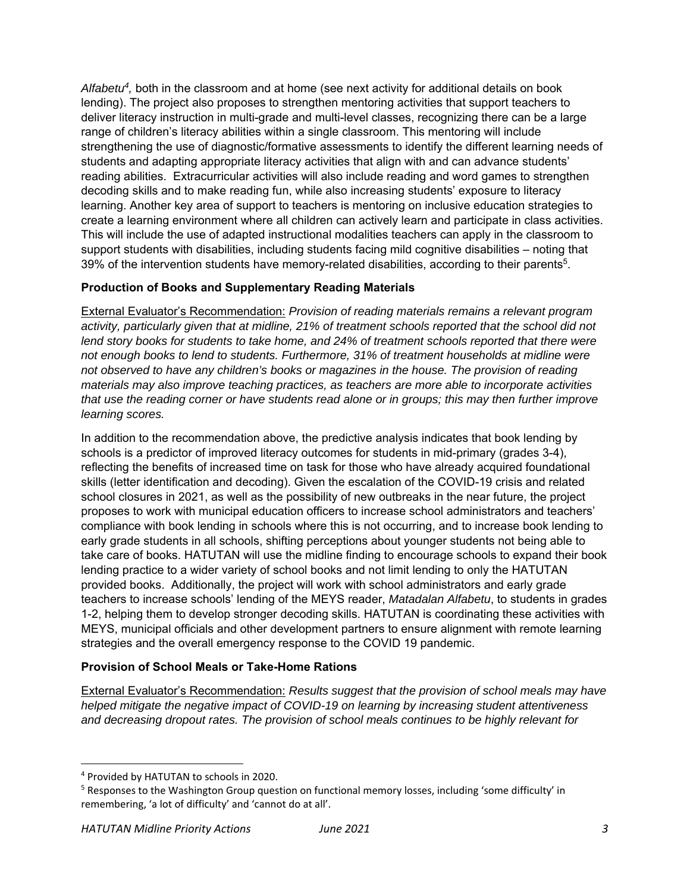*Alfabetu4,* both in the classroom and at home (see next activity for additional details on book lending). The project also proposes to strengthen mentoring activities that support teachers to deliver literacy instruction in multi-grade and multi-level classes, recognizing there can be a large range of children's literacy abilities within a single classroom. This mentoring will include strengthening the use of diagnostic/formative assessments to identify the different learning needs of students and adapting appropriate literacy activities that align with and can advance students' reading abilities. Extracurricular activities will also include reading and word games to strengthen decoding skills and to make reading fun, while also increasing students' exposure to literacy learning. Another key area of support to teachers is mentoring on inclusive education strategies to create a learning environment where all children can actively learn and participate in class activities. This will include the use of adapted instructional modalities teachers can apply in the classroom to support students with disabilities, including students facing mild cognitive disabilities – noting that 39% of the intervention students have memory-related disabilities, according to their parents5.

### **Production of Books and Supplementary Reading Materials**

External Evaluator's Recommendation: *Provision of reading materials remains a relevant program activity, particularly given that at midline, 21% of treatment schools reported that the school did not lend story books for students to take home, and 24% of treatment schools reported that there were not enough books to lend to students. Furthermore, 31% of treatment households at midline were not observed to have any children's books or magazines in the house. The provision of reading materials may also improve teaching practices, as teachers are more able to incorporate activities that use the reading corner or have students read alone or in groups; this may then further improve learning scores.* 

In addition to the recommendation above, the predictive analysis indicates that book lending by schools is a predictor of improved literacy outcomes for students in mid-primary (grades 3-4), reflecting the benefits of increased time on task for those who have already acquired foundational skills (letter identification and decoding). Given the escalation of the COVID-19 crisis and related school closures in 2021, as well as the possibility of new outbreaks in the near future, the project proposes to work with municipal education officers to increase school administrators and teachers' compliance with book lending in schools where this is not occurring, and to increase book lending to early grade students in all schools, shifting perceptions about younger students not being able to take care of books. HATUTAN will use the midline finding to encourage schools to expand their book lending practice to a wider variety of school books and not limit lending to only the HATUTAN provided books. Additionally, the project will work with school administrators and early grade teachers to increase schools' lending of the MEYS reader, *Matadalan Alfabetu*, to students in grades 1-2, helping them to develop stronger decoding skills. HATUTAN is coordinating these activities with MEYS, municipal officials and other development partners to ensure alignment with remote learning strategies and the overall emergency response to the COVID 19 pandemic.

#### **Provision of School Meals or Take-Home Rations**

External Evaluator's Recommendation: *Results suggest that the provision of school meals may have helped mitigate the negative impact of COVID-19 on learning by increasing student attentiveness and decreasing dropout rates. The provision of school meals continues to be highly relevant for* 

<sup>4</sup> Provided by HATUTAN to schools in 2020.

<sup>&</sup>lt;sup>5</sup> Responses to the Washington Group question on functional memory losses, including 'some difficulty' in remembering, 'a lot of difficulty' and 'cannot do at all'.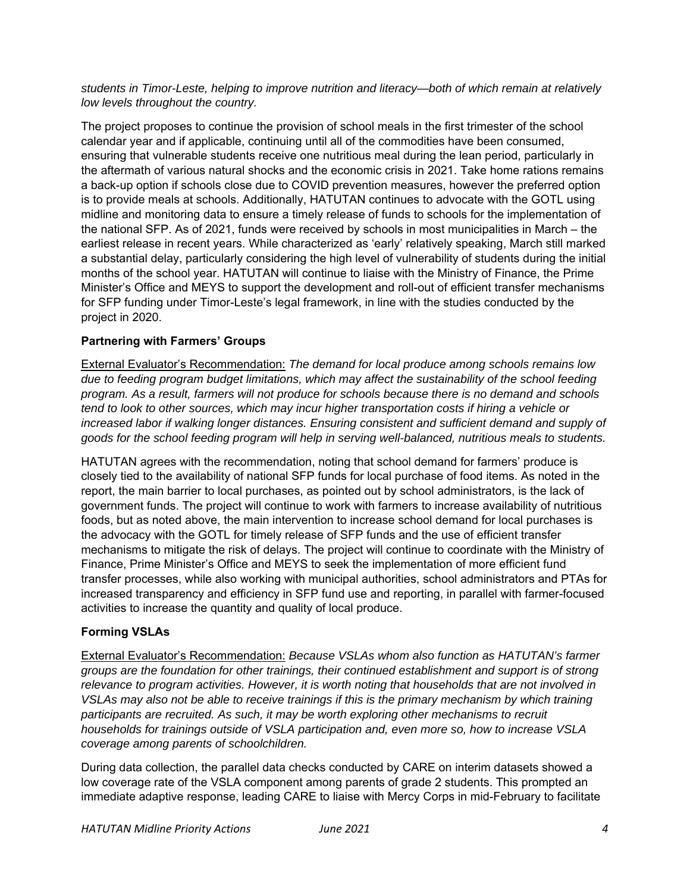*students in Timor-Leste, helping to improve nutrition and literacy—both of which remain at relatively low levels throughout the country.* 

The project proposes to continue the provision of school meals in the first trimester of the school calendar year and if applicable, continuing until all of the commodities have been consumed, ensuring that vulnerable students receive one nutritious meal during the lean period, particularly in the aftermath of various natural shocks and the economic crisis in 2021. Take home rations remains a back-up option if schools close due to COVID prevention measures, however the preferred option is to provide meals at schools. Additionally, HATUTAN continues to advocate with the GOTL using midline and monitoring data to ensure a timely release of funds to schools for the implementation of the national SFP. As of 2021, funds were received by schools in most municipalities in March – the earliest release in recent years. While characterized as 'early' relatively speaking, March still marked a substantial delay, particularly considering the high level of vulnerability of students during the initial months of the school year. HATUTAN will continue to liaise with the Ministry of Finance, the Prime Minister's Office and MEYS to support the development and roll-out of efficient transfer mechanisms for SFP funding under Timor-Leste's legal framework, in line with the studies conducted by the project in 2020.

## **Partnering with Farmers' Groups**

External Evaluator's Recommendation: *The demand for local produce among schools remains low due to feeding program budget limitations, which may affect the sustainability of the school feeding program. As a result, farmers will not produce for schools because there is no demand and schools tend to look to other sources, which may incur higher transportation costs if hiring a vehicle or increased labor if walking longer distances. Ensuring consistent and sufficient demand and supply of goods for the school feeding program will help in serving well-balanced, nutritious meals to students.* 

HATUTAN agrees with the recommendation, noting that school demand for farmers' produce is closely tied to the availability of national SFP funds for local purchase of food items. As noted in the report, the main barrier to local purchases, as pointed out by school administrators, is the lack of government funds. The project will continue to work with farmers to increase availability of nutritious foods, but as noted above, the main intervention to increase school demand for local purchases is the advocacy with the GOTL for timely release of SFP funds and the use of efficient transfer mechanisms to mitigate the risk of delays. The project will continue to coordinate with the Ministry of Finance, Prime Minister's Office and MEYS to seek the implementation of more efficient fund transfer processes, while also working with municipal authorities, school administrators and PTAs for increased transparency and efficiency in SFP fund use and reporting, in parallel with farmer-focused activities to increase the quantity and quality of local produce.

## **Forming VSLAs**

External Evaluator's Recommendation: *Because VSLAs whom also function as HATUTAN's farmer groups are the foundation for other trainings, their continued establishment and support is of strong relevance to program activities. However, it is worth noting that households that are not involved in VSLAs may also not be able to receive trainings if this is the primary mechanism by which training participants are recruited. As such, it may be worth exploring other mechanisms to recruit households for trainings outside of VSLA participation and, even more so, how to increase VSLA coverage among parents of schoolchildren.* 

During data collection, the parallel data checks conducted by CARE on interim datasets showed a low coverage rate of the VSLA component among parents of grade 2 students. This prompted an immediate adaptive response, leading CARE to liaise with Mercy Corps in mid-February to facilitate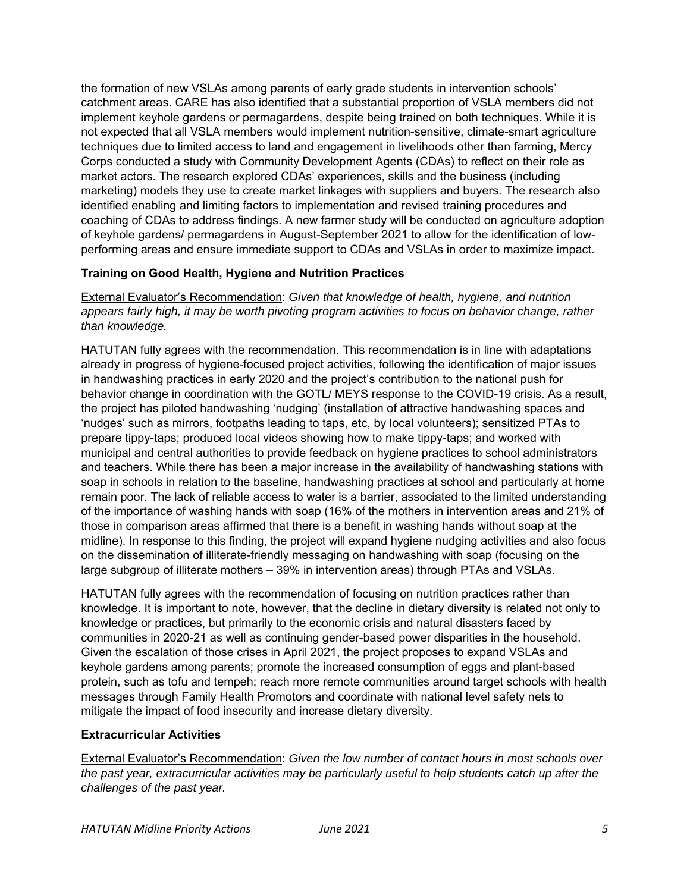the formation of new VSLAs among parents of early grade students in intervention schools' catchment areas. CARE has also identified that a substantial proportion of VSLA members did not implement keyhole gardens or permagardens, despite being trained on both techniques. While it is not expected that all VSLA members would implement nutrition-sensitive, climate-smart agriculture techniques due to limited access to land and engagement in livelihoods other than farming, Mercy Corps conducted a study with Community Development Agents (CDAs) to reflect on their role as market actors. The research explored CDAs' experiences, skills and the business (including marketing) models they use to create market linkages with suppliers and buyers. The research also identified enabling and limiting factors to implementation and revised training procedures and coaching of CDAs to address findings. A new farmer study will be conducted on agriculture adoption of keyhole gardens/ permagardens in August-September 2021 to allow for the identification of lowperforming areas and ensure immediate support to CDAs and VSLAs in order to maximize impact.

### **Training on Good Health, Hygiene and Nutrition Practices**

External Evaluator's Recommendation: *Given that knowledge of health, hygiene, and nutrition appears fairly high, it may be worth pivoting program activities to focus on behavior change, rather than knowledge.* 

HATUTAN fully agrees with the recommendation. This recommendation is in line with adaptations already in progress of hygiene-focused project activities, following the identification of major issues in handwashing practices in early 2020 and the project's contribution to the national push for behavior change in coordination with the GOTL/ MEYS response to the COVID-19 crisis. As a result, the project has piloted handwashing 'nudging' (installation of attractive handwashing spaces and 'nudges' such as mirrors, footpaths leading to taps, etc, by local volunteers); sensitized PTAs to prepare tippy-taps; produced local videos showing how to make tippy-taps; and worked with municipal and central authorities to provide feedback on hygiene practices to school administrators and teachers. While there has been a major increase in the availability of handwashing stations with soap in schools in relation to the baseline, handwashing practices at school and particularly at home remain poor. The lack of reliable access to water is a barrier, associated to the limited understanding of the importance of washing hands with soap (16% of the mothers in intervention areas and 21% of those in comparison areas affirmed that there is a benefit in washing hands without soap at the midline). In response to this finding, the project will expand hygiene nudging activities and also focus on the dissemination of illiterate-friendly messaging on handwashing with soap (focusing on the large subgroup of illiterate mothers – 39% in intervention areas) through PTAs and VSLAs.

HATUTAN fully agrees with the recommendation of focusing on nutrition practices rather than knowledge. It is important to note, however, that the decline in dietary diversity is related not only to knowledge or practices, but primarily to the economic crisis and natural disasters faced by communities in 2020-21 as well as continuing gender-based power disparities in the household. Given the escalation of those crises in April 2021, the project proposes to expand VSLAs and keyhole gardens among parents; promote the increased consumption of eggs and plant-based protein, such as tofu and tempeh; reach more remote communities around target schools with health messages through Family Health Promotors and coordinate with national level safety nets to mitigate the impact of food insecurity and increase dietary diversity.

#### **Extracurricular Activities**

External Evaluator's Recommendation: *Given the low number of contact hours in most schools over the past year, extracurricular activities may be particularly useful to help students catch up after the challenges of the past year.*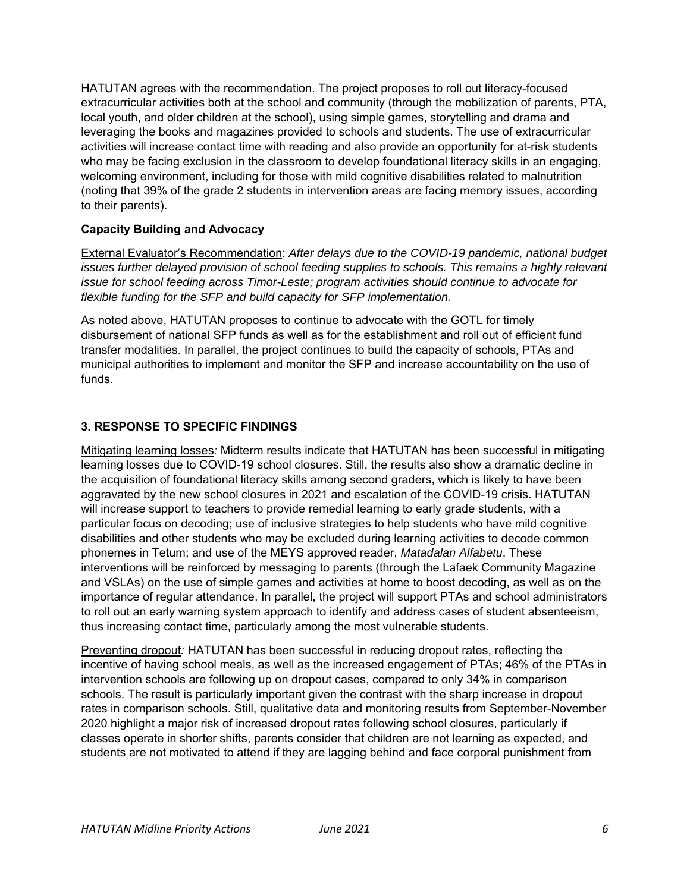HATUTAN agrees with the recommendation. The project proposes to roll out literacy-focused extracurricular activities both at the school and community (through the mobilization of parents, PTA, local youth, and older children at the school), using simple games, storytelling and drama and leveraging the books and magazines provided to schools and students. The use of extracurricular activities will increase contact time with reading and also provide an opportunity for at-risk students who may be facing exclusion in the classroom to develop foundational literacy skills in an engaging, welcoming environment, including for those with mild cognitive disabilities related to malnutrition (noting that 39% of the grade 2 students in intervention areas are facing memory issues, according to their parents).

#### **Capacity Building and Advocacy**

External Evaluator's Recommendation: *After delays due to the COVID-19 pandemic, national budget issues further delayed provision of school feeding supplies to schools. This remains a highly relevant issue for school feeding across Timor-Leste; program activities should continue to advocate for flexible funding for the SFP and build capacity for SFP implementation.*

As noted above, HATUTAN proposes to continue to advocate with the GOTL for timely disbursement of national SFP funds as well as for the establishment and roll out of efficient fund transfer modalities. In parallel, the project continues to build the capacity of schools, PTAs and municipal authorities to implement and monitor the SFP and increase accountability on the use of funds.

#### **3. RESPONSE TO SPECIFIC FINDINGS**

Mitigating learning losses*:* Midterm results indicate that HATUTAN has been successful in mitigating learning losses due to COVID-19 school closures. Still, the results also show a dramatic decline in the acquisition of foundational literacy skills among second graders, which is likely to have been aggravated by the new school closures in 2021 and escalation of the COVID-19 crisis. HATUTAN will increase support to teachers to provide remedial learning to early grade students, with a particular focus on decoding; use of inclusive strategies to help students who have mild cognitive disabilities and other students who may be excluded during learning activities to decode common phonemes in Tetum; and use of the MEYS approved reader, *Matadalan Alfabetu*. These interventions will be reinforced by messaging to parents (through the Lafaek Community Magazine and VSLAs) on the use of simple games and activities at home to boost decoding, as well as on the importance of regular attendance. In parallel, the project will support PTAs and school administrators to roll out an early warning system approach to identify and address cases of student absenteeism, thus increasing contact time, particularly among the most vulnerable students.

Preventing dropout*:* HATUTAN has been successful in reducing dropout rates, reflecting the incentive of having school meals, as well as the increased engagement of PTAs; 46% of the PTAs in intervention schools are following up on dropout cases, compared to only 34% in comparison schools. The result is particularly important given the contrast with the sharp increase in dropout rates in comparison schools. Still, qualitative data and monitoring results from September-November 2020 highlight a major risk of increased dropout rates following school closures, particularly if classes operate in shorter shifts, parents consider that children are not learning as expected, and students are not motivated to attend if they are lagging behind and face corporal punishment from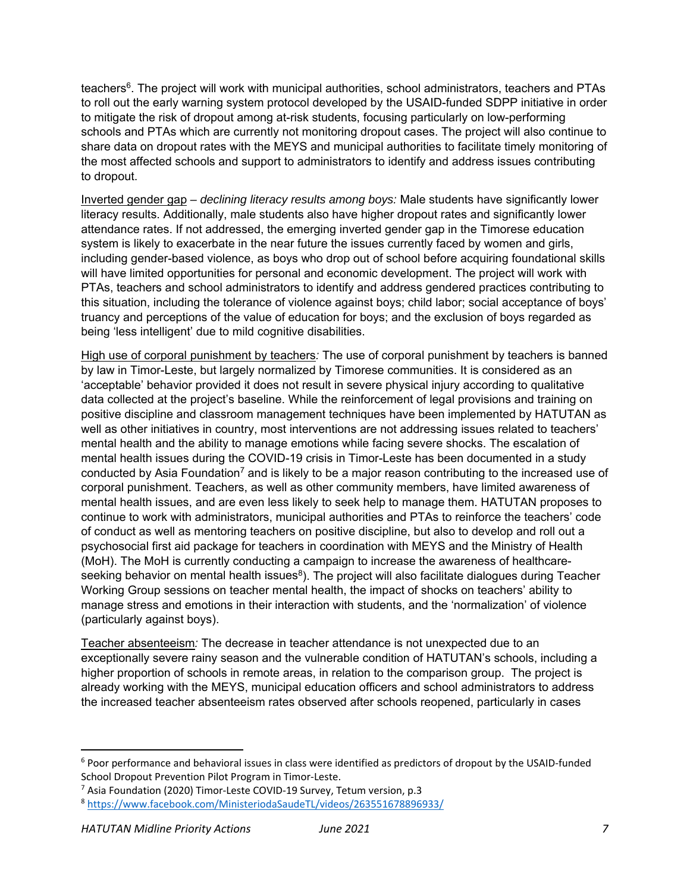teachers<sup>6</sup>. The project will work with municipal authorities, school administrators, teachers and PTAs to roll out the early warning system protocol developed by the USAID-funded SDPP initiative in order to mitigate the risk of dropout among at-risk students, focusing particularly on low-performing schools and PTAs which are currently not monitoring dropout cases. The project will also continue to share data on dropout rates with the MEYS and municipal authorities to facilitate timely monitoring of the most affected schools and support to administrators to identify and address issues contributing to dropout.

Inverted gender gap *– declining literacy results among boys:* Male students have significantly lower literacy results. Additionally, male students also have higher dropout rates and significantly lower attendance rates. If not addressed, the emerging inverted gender gap in the Timorese education system is likely to exacerbate in the near future the issues currently faced by women and girls, including gender-based violence, as boys who drop out of school before acquiring foundational skills will have limited opportunities for personal and economic development. The project will work with PTAs, teachers and school administrators to identify and address gendered practices contributing to this situation, including the tolerance of violence against boys; child labor; social acceptance of boys' truancy and perceptions of the value of education for boys; and the exclusion of boys regarded as being 'less intelligent' due to mild cognitive disabilities.

High use of corporal punishment by teachers*:* The use of corporal punishment by teachers is banned by law in Timor-Leste, but largely normalized by Timorese communities. It is considered as an 'acceptable' behavior provided it does not result in severe physical injury according to qualitative data collected at the project's baseline. While the reinforcement of legal provisions and training on positive discipline and classroom management techniques have been implemented by HATUTAN as well as other initiatives in country, most interventions are not addressing issues related to teachers' mental health and the ability to manage emotions while facing severe shocks. The escalation of mental health issues during the COVID-19 crisis in Timor-Leste has been documented in a study conducted by Asia Foundation<sup>7</sup> and is likely to be a major reason contributing to the increased use of corporal punishment. Teachers, as well as other community members, have limited awareness of mental health issues, and are even less likely to seek help to manage them. HATUTAN proposes to continue to work with administrators, municipal authorities and PTAs to reinforce the teachers' code of conduct as well as mentoring teachers on positive discipline, but also to develop and roll out a psychosocial first aid package for teachers in coordination with MEYS and the Ministry of Health (MoH). The MoH is currently conducting a campaign to increase the awareness of healthcareseeking behavior on mental health issues<sup>8</sup>). The project will also facilitate dialogues during Teacher Working Group sessions on teacher mental health, the impact of shocks on teachers' ability to manage stress and emotions in their interaction with students, and the 'normalization' of violence (particularly against boys).

Teacher absenteeism*:* The decrease in teacher attendance is not unexpected due to an exceptionally severe rainy season and the vulnerable condition of HATUTAN's schools, including a higher proportion of schools in remote areas, in relation to the comparison group. The project is already working with the MEYS, municipal education officers and school administrators to address the increased teacher absenteeism rates observed after schools reopened, particularly in cases

<sup>&</sup>lt;sup>6</sup> Poor performance and behavioral issues in class were identified as predictors of dropout by the USAID-funded School Dropout Prevention Pilot Program in Timor‐Leste.

<sup>&</sup>lt;sup>7</sup> Asia Foundation (2020) Timor-Leste COVID-19 Survey, Tetum version, p.3

<sup>8</sup> https://www.facebook.com/MinisteriodaSaudeTL/videos/263551678896933/